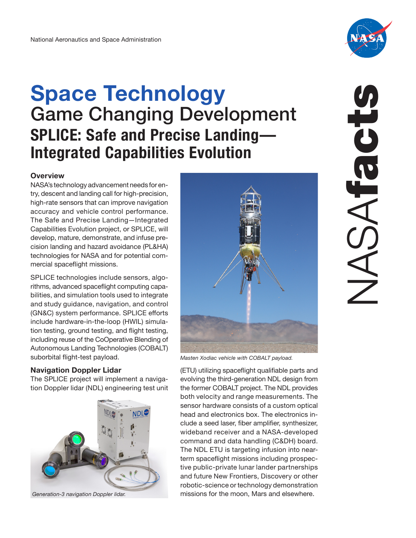# **Space Technology**  Game Changing Development **SPLICE: Safe and Precise Landing— Integrated Capabilities Evolution**

# **Overview**

NASA's technology advancement needs for entry, descent and landing call for high-precision, high-rate sensors that can improve navigation accuracy and vehicle control performance. The Safe and Precise Landing—Integrated Capabilities Evolution project, or SPLICE, will develop, mature, demonstrate, and infuse precision landing and hazard avoidance (PL&HA) technologies for NASA and for potential commercial spaceflight missions.

SPLICE technologies include sensors, algorithms, advanced spaceflight computing capabilities, and simulation tools used to integrate and study guidance, navigation, and control (GN&C) system performance. SPLICE efforts include hardware-in-the-loop (HWIL) simulation testing, ground testing, and flight testing, including reuse of the CoOperative Blending of Autonomous Landing Technologies (COBALT) suborbital flight-test payload.

# **Navigation Doppler Lidar**

The SPLICE project will implement a navigation Doppler lidar (NDL) engineering test unit









*Masten Xodiac vehicle with COBALT payload.* 

(ETU) utilizing spaceflight qualifiable parts and evolving the third-generation NDL design from the former COBALT project. The NDL provides both velocity and range measurements. The sensor hardware consists of a custom optical head and electronics box. The electronics include a seed laser, fiber amplifier, synthesizer, wideband receiver and a NASA-developed command and data handling (C&DH) board. The NDL ETU is targeting infusion into nearterm spaceflight missions including prospective public-private lunar lander partnerships and future New Frontiers, Discovery or other robotic-science or technology demonstration *Generation-3 navigation Doppler lidar.* missions for the moon, Mars and elsewhere.